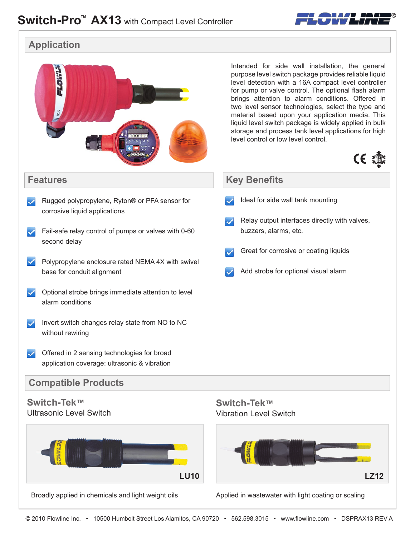

**Application**